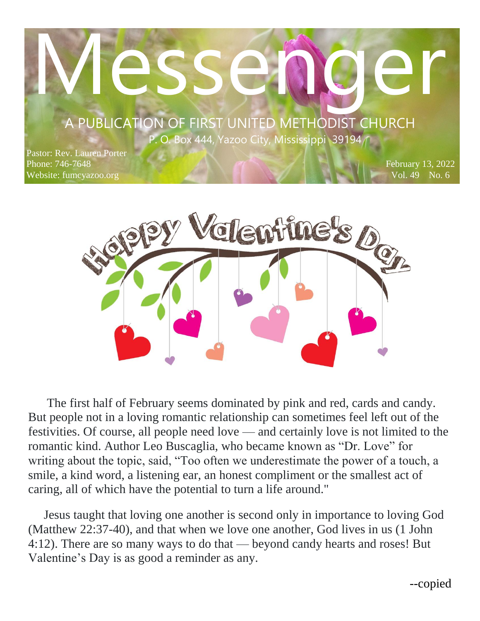# MESSENGER A PUBLICATION OF FIRST UNITED METHODIST CHURCH

**P. O.** Box 444, Yazoo City, Mississippi 39194

 $\mathcal{P}(\mathcal{A})$  and  $\mathcal{A}(\mathcal{A})$ 

Pastor: Rev. Lauren Porter Phone: 746-7648 Website: fumcyazoo.org



 The first half of February seems dominated by pink and red, cards and candy. But people not in a loving romantic relationship can sometimes feel left out of the festivities. Of course, all people need love — and certainly love is not limited to the romantic kind. Author Leo Buscaglia, who became known as "Dr. Love" for writing about the topic, said, "Too often we underestimate the power of a touch, a smile, a kind word, a listening ear, an honest compliment or the smallest act of caring, all of which have the potential to turn a life around."

 Jesus taught that loving one another is second only in importance to loving God (Matthew 22:37-40), and that when we love one another, God lives in us (1 John 4:12). There are so many ways to do that — beyond candy hearts and roses! But Valentine's Day is as good a reminder as any.

--copied

February 13, 2022 Vol. 49 No.  $\overline{6}$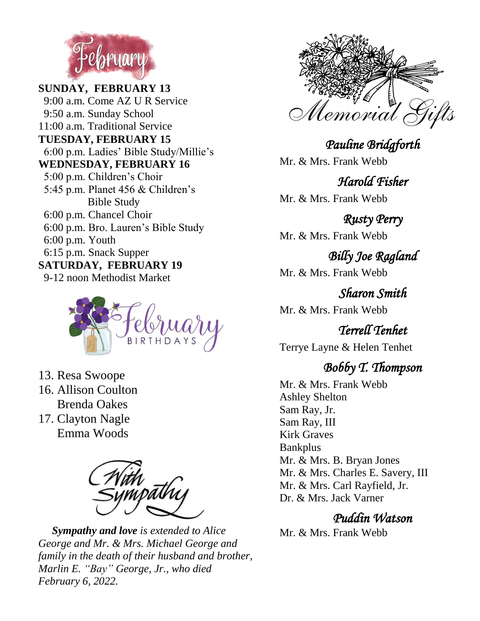

**SUNDAY, FEBRUARY 13** 9:00 a.m. Come AZ U R Service 9:50 a.m. Sunday School 11:00 a.m. Traditional Service **TUESDAY, FEBRUARY 15** 6:00 p.m. Ladies' Bible Study/Millie's **WEDNESDAY, FEBRUARY 16** 5:00 p.m. Children's Choir 5:45 p.m. Planet 456 & Children's Bible Study 6:00 p.m. Chancel Choir 6:00 p.m. Bro. Lauren's Bible Study 6:00 p.m. Youth 6:15 p.m. Snack Supper **SATURDAY, FEBRUARY 19** 9-12 noon Methodist Market



- 13. Resa Swoope
- 16. Allison Coulton Brenda Oakes
- 17. Clayton Nagle Emma Woods



 *Sympathy and love is extended to Alice George and Mr. & Mrs. Michael George and family in the death of their husband and brother, Marlin E. "Bay" George, Jr., who died February 6, 2022.*



*Pauline Bridgforth* 

Mr. & Mrs. Frank Webb

*Harold Fisher* 

Mr. & Mrs. Frank Webb

*Rusty Perry* 

Mr. & Mrs. Frank Webb

*Billy Joe Ragland* 

Mr. & Mrs. Frank Webb

*Sharon Smith* 

Mr. & Mrs. Frank Webb

#### *Terrell Tenhet*

Terrye Layne & Helen Tenhet

#### *Bobby T. Thompson*

Mr. & Mrs. Frank Webb Ashley Shelton Sam Ray, Jr. Sam Ray, III Kirk Graves Bankplus Mr. & Mrs. B. Bryan Jones Mr. & Mrs. Charles E. Savery, III Mr. & Mrs. Carl Rayfield, Jr. Dr. & Mrs. Jack Varner

#### *Puddin Watson*

Mr. & Mrs. Frank Webb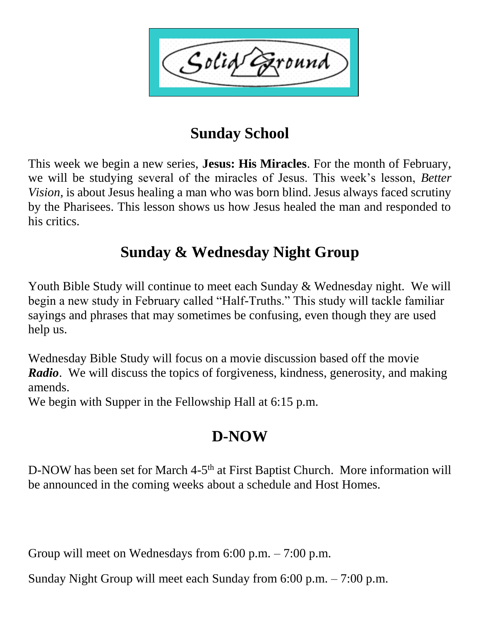Solid ound

# **Sunday School**

This week we begin a new series, **Jesus: His Miracles**. For the month of February, we will be studying several of the miracles of Jesus. This week's lesson, *Better Vision,* is about Jesus healing a man who was born blind. Jesus always faced scrutiny by the Pharisees. This lesson shows us how Jesus healed the man and responded to his critics.

# **Sunday & Wednesday Night Group**

Youth Bible Study will continue to meet each Sunday & Wednesday night. We will begin a new study in February called "Half-Truths." This study will tackle familiar sayings and phrases that may sometimes be confusing, even though they are used help us.

Wednesday Bible Study will focus on a movie discussion based off the movie *Radio*. We will discuss the topics of forgiveness, kindness, generosity, and making amends.

We begin with Supper in the Fellowship Hall at 6:15 p.m.

# **D-NOW**

D-NOW has been set for March 4-5<sup>th</sup> at First Baptist Church. More information will be announced in the coming weeks about a schedule and Host Homes.

Group will meet on Wednesdays from 6:00 p.m. – 7:00 p.m.

Sunday Night Group will meet each Sunday from 6:00 p.m. – 7:00 p.m.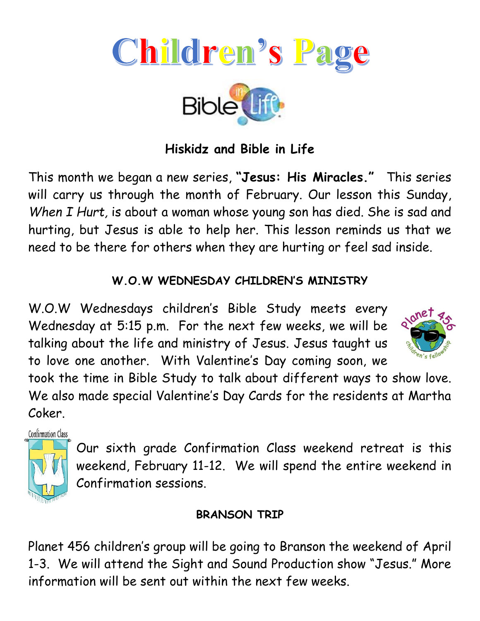

#### **Hiskidz and Bible in Life**

This month we began a new series, **"Jesus: His Miracles."** This series will carry us through the month of February. Our lesson this Sunday, *When I Hurt,* is about a woman whose young son has died. She is sad and hurting, but Jesus is able to help her. This lesson reminds us that we need to be there for others when they are hurting or feel sad inside.

#### **W.O.W WEDNESDAY CHILDREN'S MINISTRY**

W.O.W Wednesdays children's Bible Study meets every Wednesday at 5:15 p.m. For the next few weeks, we will be talking about the life and ministry of Jesus. Jesus taught us to love one another. With Valentine's Day coming soon, we



took the time in Bible Study to talk about different ways to show love. We also made special Valentine's Day Cards for the residents at Martha Coker.

Confirmation Class



Our sixth grade Confirmation Class weekend retreat is this weekend, February 11-12. We will spend the entire weekend in Confirmation sessions.

#### **BRANSON TRIP**

Planet 456 children's group will be going to Branson the weekend of April 1-3. We will attend the Sight and Sound Production show "Jesus." More information will be sent out within the next few weeks.